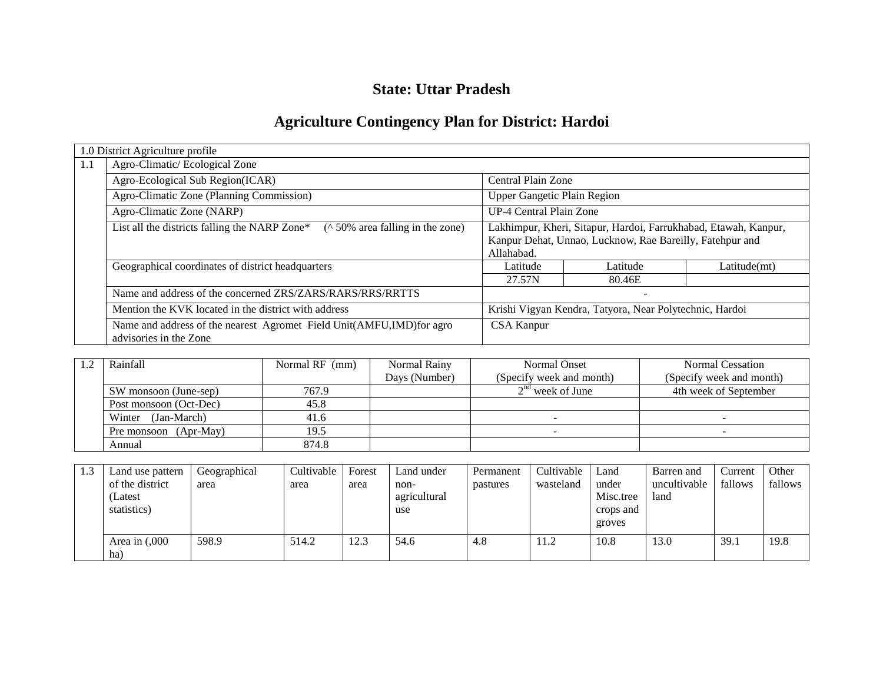### **State: Uttar Pradesh**

# **Agriculture Contingency Plan for District: Hardoi**

|     | 1.0 District Agriculture profile                                                               |                                                                 |          |              |  |
|-----|------------------------------------------------------------------------------------------------|-----------------------------------------------------------------|----------|--------------|--|
| 1.1 | Agro-Climatic/Ecological Zone                                                                  |                                                                 |          |              |  |
|     | Agro-Ecological Sub Region(ICAR)                                                               | Central Plain Zone                                              |          |              |  |
|     | Agro-Climatic Zone (Planning Commission)                                                       | <b>Upper Gangetic Plain Region</b>                              |          |              |  |
|     | Agro-Climatic Zone (NARP)                                                                      | UP-4 Central Plain Zone                                         |          |              |  |
|     | List all the districts falling the NARP Zone*<br>( $\land$ 50% area falling in the zone)       | Lakhimpur, Kheri, Sitapur, Hardoi, Farrukhabad, Etawah, Kanpur, |          |              |  |
|     |                                                                                                | Kanpur Dehat, Unnao, Lucknow, Rae Bareilly, Fatehpur and        |          |              |  |
|     |                                                                                                | Allahabad.                                                      |          |              |  |
|     | Geographical coordinates of district headquarters                                              | Latitude                                                        | Latitude | Latitude(mt) |  |
|     |                                                                                                | 27.57N                                                          | 80.46E   |              |  |
|     | Name and address of the concerned ZRS/ZARS/RARS/RRS/RRTTS                                      |                                                                 |          |              |  |
|     | Mention the KVK located in the district with address                                           | Krishi Vigyan Kendra, Tatyora, Near Polytechnic, Hardoi         |          |              |  |
|     | Name and address of the nearest Agromet Field Unit(AMFU,IMD)for agro<br>advisories in the Zone | <b>CSA Kanpur</b>                                               |          |              |  |

| Rainfall               | Normal RF (mm) | Normal Rainy  | <b>Normal Onset</b>      | <b>Normal Cessation</b>  |
|------------------------|----------------|---------------|--------------------------|--------------------------|
|                        |                | Days (Number) | (Specify week and month) | (Specify week and month) |
| SW monsoon (June-sep)  | 767.9          |               | $2nd$ week of June       | 4th week of September    |
| Post monsoon (Oct-Dec) | 45.8           |               |                          |                          |
| (Jan-March)<br>Winter  | 41.6           |               |                          |                          |
| Pre monsoon (Apr-May)  | 19.5           |               |                          |                          |
| Annual                 | 874.8          |               |                          |                          |

| 1.3 | Land use pattern<br>of the district<br>(Latest<br>statistics) | Geographical<br>area | Cultivable<br>area | Forest<br>area | Land under<br>non-<br>agricultural<br>use | Permanent<br>pastures | Cultivable<br>wasteland | Land<br>under<br>Misc.tree<br>crops and<br>groves | Barren and<br>uncultivable<br>land | Current<br>fallows | Other<br>fallows |
|-----|---------------------------------------------------------------|----------------------|--------------------|----------------|-------------------------------------------|-----------------------|-------------------------|---------------------------------------------------|------------------------------------|--------------------|------------------|
|     | Area in $(0.000)$<br>ha)                                      | 598.9                | 514.2              | 12.3           | 54.6                                      | 4.8                   | 11.2                    | 10.8                                              | 13.0                               | 39.1               | 19.8             |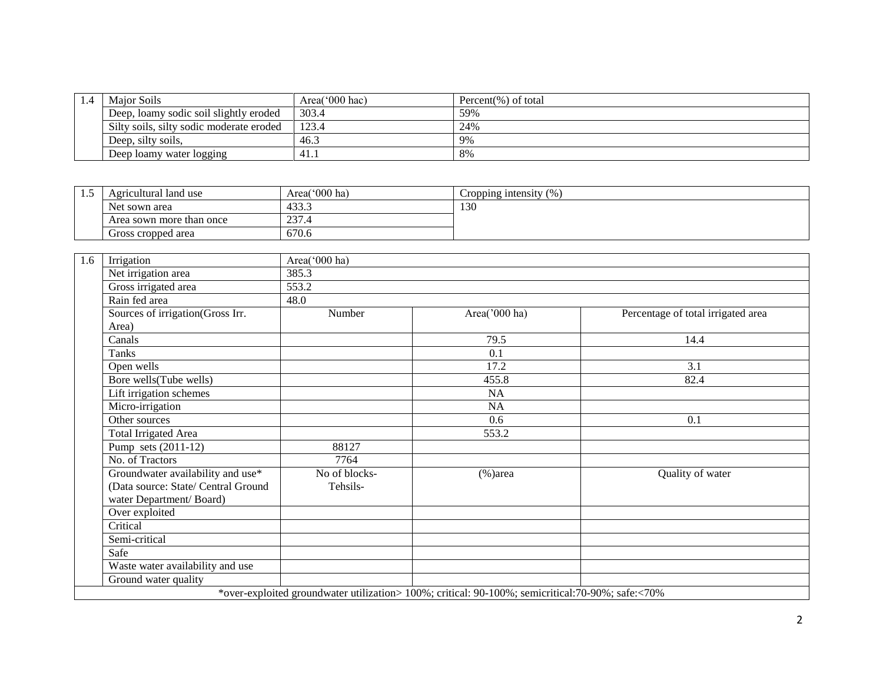| 1.4 | <b>Maior Soils</b>                       | Area $(000$ hac) | Percent $(\%)$ of total |
|-----|------------------------------------------|------------------|-------------------------|
|     | Deep, loamy sodic soil slightly eroded   | 303.4            | 59%                     |
|     | Silty soils, silty sodic moderate eroded | 123.4            | 24%                     |
|     | Deep, silty soils,                       | 46.3             | 9%                      |
|     | Deep loamy water logging                 | 41.1             | 8%                      |

| . | Agricultural land use    | Area('000 ha)          | (%<br>Cropping intensity |
|---|--------------------------|------------------------|--------------------------|
|   | Net sown area            | 433 <sup>2</sup><br>+. | 130                      |
|   | Area sown more than once | 227<br>231.4           |                          |
|   | Gross cropped area       | 670.6                  |                          |

| 1.6 | Irrigation                          | Area('000 ha) |                                                                                                  |                                    |
|-----|-------------------------------------|---------------|--------------------------------------------------------------------------------------------------|------------------------------------|
|     | Net irrigation area                 | 385.3         |                                                                                                  |                                    |
|     | Gross irrigated area                | 553.2         |                                                                                                  |                                    |
|     | Rain fed area                       | 48.0          |                                                                                                  |                                    |
|     | Sources of irrigation(Gross Irr.    | Number        | Area('000 ha)                                                                                    | Percentage of total irrigated area |
|     | Area)                               |               |                                                                                                  |                                    |
|     | Canals                              |               | 79.5                                                                                             | 14.4                               |
|     | <b>Tanks</b>                        |               | 0.1                                                                                              |                                    |
|     | Open wells                          |               | 17.2                                                                                             | 3.1                                |
|     | Bore wells(Tube wells)              |               | 455.8                                                                                            | 82.4                               |
|     | Lift irrigation schemes             |               | <b>NA</b>                                                                                        |                                    |
|     | Micro-irrigation                    |               | NA                                                                                               |                                    |
|     | Other sources                       |               | 0.6                                                                                              | 0.1                                |
|     | Total Irrigated Area                |               | 553.2                                                                                            |                                    |
|     | Pump sets (2011-12)                 | 88127         |                                                                                                  |                                    |
|     | No. of Tractors                     | 7764          |                                                                                                  |                                    |
|     | Groundwater availability and use*   | No of blocks- | $%$ )area                                                                                        | Quality of water                   |
|     | (Data source: State/ Central Ground | Tehsils-      |                                                                                                  |                                    |
|     | water Department/Board)             |               |                                                                                                  |                                    |
|     | Over exploited                      |               |                                                                                                  |                                    |
|     | Critical                            |               |                                                                                                  |                                    |
|     | Semi-critical                       |               |                                                                                                  |                                    |
|     | Safe                                |               |                                                                                                  |                                    |
|     | Waste water availability and use    |               |                                                                                                  |                                    |
|     | Ground water quality                |               |                                                                                                  |                                    |
|     |                                     |               | *over-exploited groundwater utilization> 100%; critical: 90-100%; semicritical:70-90%; safe:<70% |                                    |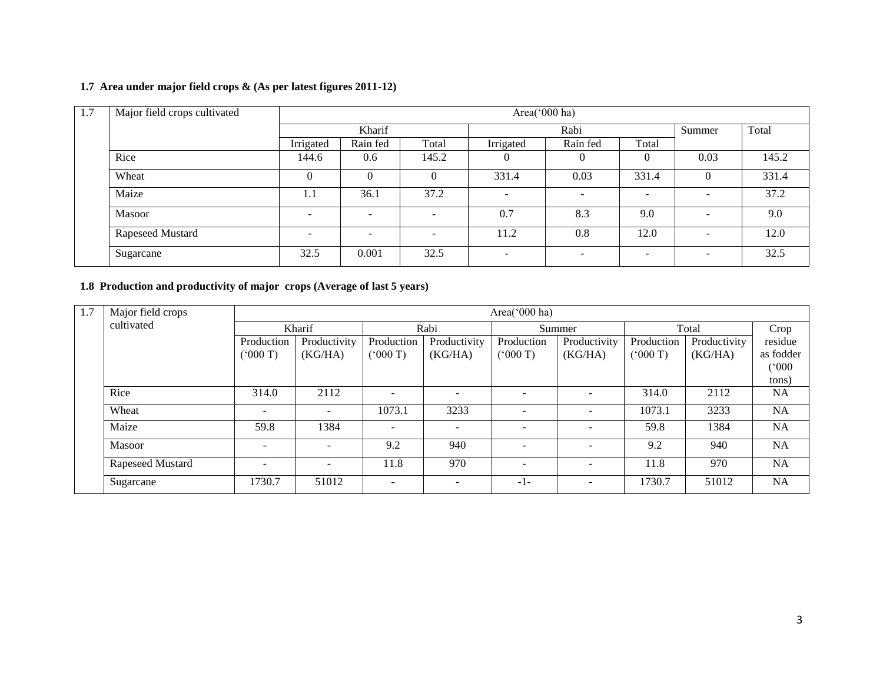### **1.7 Area under major field crops & (As per latest figures 2011-12)**

| 1.7 | Major field crops cultivated |                          | Area('000 ha)            |                          |                          |                          |                          |                          |       |  |  |  |
|-----|------------------------------|--------------------------|--------------------------|--------------------------|--------------------------|--------------------------|--------------------------|--------------------------|-------|--|--|--|
|     |                              |                          | Kharif                   |                          | Rabi                     |                          |                          | Summer                   | Total |  |  |  |
|     |                              | Irrigated                | Rain fed                 | Total                    | Irrigated                | Rain fed                 | Total                    |                          |       |  |  |  |
|     | Rice                         | 144.6                    | 0.6                      | 145.2                    |                          |                          | $\theta$                 | 0.03                     | 145.2 |  |  |  |
|     | Wheat                        | O                        | 0                        | $\theta$                 | 331.4                    | 0.03                     | 331.4                    |                          | 331.4 |  |  |  |
|     | Maize                        | 1.1                      | 36.1                     | 37.2                     | $\overline{\phantom{a}}$ | -                        | $\overline{\phantom{0}}$ | $\overline{\phantom{0}}$ | 37.2  |  |  |  |
|     | Masoor                       | $\overline{\phantom{0}}$ | $\overline{\phantom{a}}$ | $\overline{\phantom{a}}$ | 0.7                      | 8.3                      | 9.0                      | $\overline{\phantom{0}}$ | 9.0   |  |  |  |
|     | Rapeseed Mustard             |                          | $\overline{\phantom{0}}$ | $\overline{a}$           | 11.2                     | 0.8                      | 12.0                     | $\overline{\phantom{0}}$ | 12.0  |  |  |  |
|     | Sugarcane                    | 32.5                     | 0.001                    | 32.5                     | $\overline{\phantom{a}}$ | $\overline{\phantom{0}}$ | $\overline{\phantom{a}}$ | $\overline{\phantom{a}}$ | 32.5  |  |  |  |

### **1.8 Production and productivity of major crops (Average of last 5 years)**

| 1.7 | Major field crops |                          |              |                          |                          | Area(' $000$ ha)         |                          |            |              |           |
|-----|-------------------|--------------------------|--------------|--------------------------|--------------------------|--------------------------|--------------------------|------------|--------------|-----------|
|     | cultivated        | Kharif                   |              |                          | Rabi                     |                          | Summer                   |            | Total        |           |
|     |                   | Production               | Productivity | Production               | Productivity             | Production               | Productivity             | Production | Productivity | residue   |
|     |                   | (° 000'T)                | (KG/HA)      | (5000)                   | (KG/HA)                  | $(^{o}000T)$             | (KG/HA)                  | (000 T)    | (KG/HA)      | as fodder |
|     |                   |                          |              |                          |                          |                          |                          |            |              | (°000)    |
|     |                   |                          |              |                          |                          |                          |                          |            |              | tons)     |
|     | Rice              | 314.0                    | 2112         | $\overline{\phantom{a}}$ | $\overline{\phantom{0}}$ | $\overline{\phantom{a}}$ |                          | 314.0      | 2112         | <b>NA</b> |
|     | Wheat             | $\overline{\phantom{0}}$ |              | 1073.1                   | 3233                     |                          |                          | 1073.1     | 3233         | <b>NA</b> |
|     | Maize             | 59.8                     | 1384         | $\overline{\phantom{a}}$ | $\overline{\phantom{0}}$ |                          |                          | 59.8       | 1384         | <b>NA</b> |
|     | <b>Masoor</b>     | $\overline{\phantom{0}}$ |              | 9.2                      | 940                      |                          |                          | 9.2        | 940          | <b>NA</b> |
|     | Rapeseed Mustard  | $\overline{\phantom{0}}$ |              | 11.8                     | 970                      |                          | $\overline{\phantom{a}}$ | 11.8       | 970          | <b>NA</b> |
|     | Sugarcane         | 1730.7                   | 51012        | $\overline{\phantom{a}}$ | $\overline{\phantom{a}}$ | $-1-$                    | $\overline{\phantom{a}}$ | 1730.7     | 51012        | <b>NA</b> |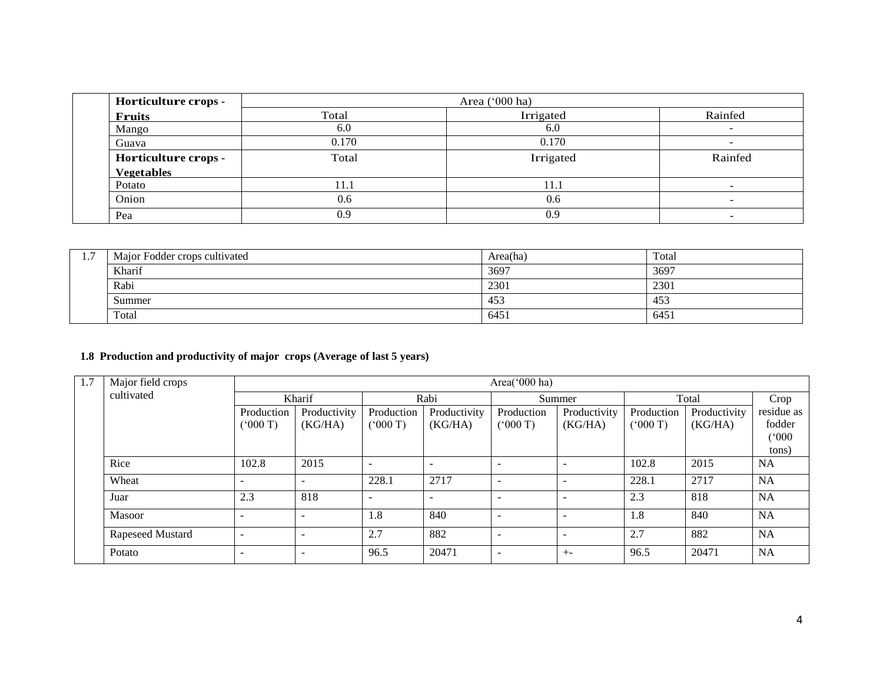| Horticulture crops - |       | Area ('000 ha) |                          |  |
|----------------------|-------|----------------|--------------------------|--|
| <b>Fruits</b>        | Total | Irrigated      | Rainfed                  |  |
| Mango                | 6.0   | 6.0            | -                        |  |
| 0.170<br>Guava       |       | 0.170          | $\overline{\phantom{0}}$ |  |
| Horticulture crops - | Total | Irrigated      | Rainfed                  |  |
| <b>Vegetables</b>    |       |                |                          |  |
| Potato               | 11.1  | 11.1           | -                        |  |
| Onion                | 0.6   | 0.6            | $\overline{\phantom{a}}$ |  |
| Pea                  | 0.9   |                | -                        |  |

| $\mathbf{1} \cdot \mathbf{1}$ | Major Fodder crops cultivated | Area(ha) | Total |
|-------------------------------|-------------------------------|----------|-------|
|                               | Kharif                        | 3697     | 3697  |
|                               | Rabi                          | 2301     | 2301  |
|                               | Summer                        | 453      | 453   |
|                               | Total                         | 6451     | 6451  |

### **1.8 Production and productivity of major crops (Average of last 5 years)**

| 1.7 | Major field crops | Area('000 ha) |                          |                          |                          |                          |              |              |              |                  |
|-----|-------------------|---------------|--------------------------|--------------------------|--------------------------|--------------------------|--------------|--------------|--------------|------------------|
|     | cultivated        | Kharif        |                          |                          | Rabi                     |                          | Summer       |              | Total        |                  |
|     |                   | Production    | Productivity             | Production               | Productivity             | Production               | Productivity | Production   | Productivity | residue as       |
|     |                   | (5000)        | (KG/HA)                  | (5000)                   | (KG/HA)                  | (000 T)                  | (KG/HA)      | $(^{o}000T)$ | (KG/HA)      | fodder<br>(°000) |
|     |                   |               |                          |                          |                          |                          |              |              |              | tons)            |
|     | Rice              | 102.8         | 2015                     | $\overline{\phantom{a}}$ | $\overline{\phantom{0}}$ | $\overline{\phantom{a}}$ |              | 102.8        | 2015         | <b>NA</b>        |
|     | Wheat             |               |                          | 228.1                    | 2717                     | $\overline{\phantom{a}}$ |              | 228.1        | 2717         | <b>NA</b>        |
|     | Juar              | 2.3           | 818                      | $\overline{\phantom{a}}$ | $\overline{\phantom{a}}$ | $\overline{\phantom{0}}$ |              | 2.3          | 818          | <b>NA</b>        |
|     | Masoor            |               | $\overline{\phantom{a}}$ | 1.8                      | 840                      | $\overline{\phantom{a}}$ |              | 1.8          | 840          | <b>NA</b>        |
|     | Rapeseed Mustard  |               |                          | 2.7                      | 882                      | $\overline{\phantom{0}}$ |              | 2.7          | 882          | <b>NA</b>        |
|     | Potato            |               |                          | 96.5                     | 20471                    |                          | $+ -$        | 96.5         | 20471        | <b>NA</b>        |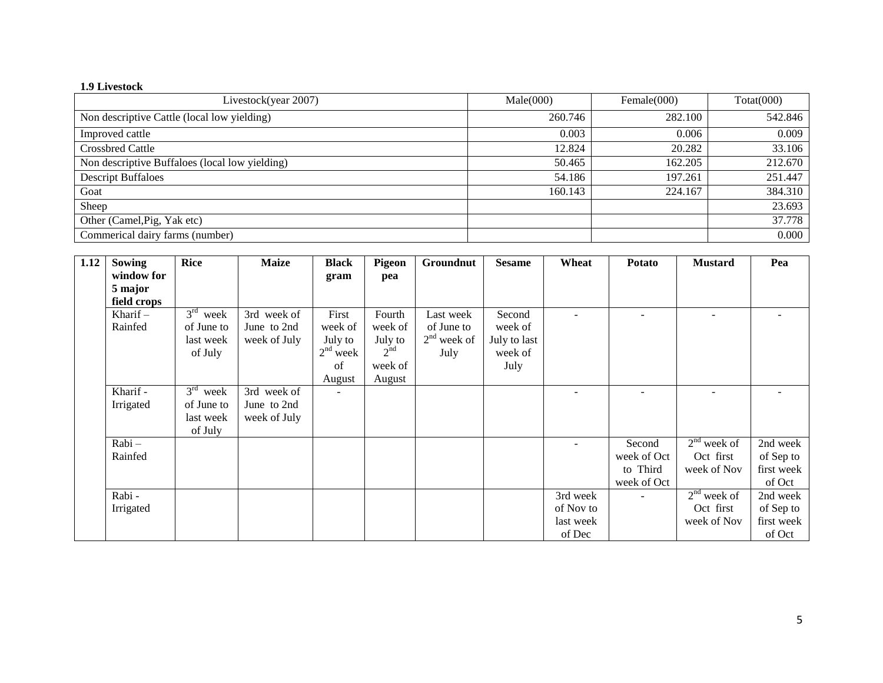### **1.9 Livestock**

| Livestock(year 2007)                           | Male(000) | Female $(000)$ | Total(000) |
|------------------------------------------------|-----------|----------------|------------|
| Non descriptive Cattle (local low yielding)    | 260.746   | 282.100        | 542.846    |
| Improved cattle                                | 0.003     | 0.006          | 0.009      |
| <b>Crossbred Cattle</b>                        | 12.824    | 20.282         | 33.106     |
| Non descriptive Buffaloes (local low yielding) | 50.465    | 162.205        | 212.670    |
| <b>Descript Buffaloes</b>                      | 54.186    | 197.261        | 251.447    |
| Goat                                           | 160.143   | 224.167        | 384.310    |
| Sheep                                          |           |                | 23.693     |
| Other (Camel, Pig, Yak etc)                    |           |                | 37.778     |
| Commerical dairy farms (number)                |           |                | 0.000      |

| 1.12 | <b>Sowing</b> | <b>Rice</b> | <b>Maize</b> | <b>Black</b> | Pigeon   | Groundnut     | <b>Sesame</b> | Wheat     | Potato                   | <b>Mustard</b> | Pea        |
|------|---------------|-------------|--------------|--------------|----------|---------------|---------------|-----------|--------------------------|----------------|------------|
|      | window for    |             |              | gram         | pea      |               |               |           |                          |                |            |
|      | 5 major       |             |              |              |          |               |               |           |                          |                |            |
|      | field crops   |             |              |              |          |               |               |           |                          |                |            |
|      | Kharif $-$    | $3rd$ week  | 3rd week of  | First        | Fourth   | Last week     | Second        |           | $\overline{\phantom{0}}$ |                |            |
|      | Rainfed       | of June to  | June to 2nd  | week of      | week of  | of June to    | week of       |           |                          |                |            |
|      |               | last week   | week of July | July to      | July to  | $2nd$ week of | July to last  |           |                          |                |            |
|      |               | of July     |              | $2nd$ week   | $2^{nd}$ | July          | week of       |           |                          |                |            |
|      |               |             |              | of           | week of  |               | July          |           |                          |                |            |
|      |               |             |              | August       | August   |               |               |           |                          |                |            |
|      | Kharif -      | $3rd$ week  | 3rd week of  |              |          |               |               |           |                          |                |            |
|      | Irrigated     | of June to  | June to 2nd  |              |          |               |               |           |                          |                |            |
|      |               | last week   | week of July |              |          |               |               |           |                          |                |            |
|      |               | of July     |              |              |          |               |               |           |                          |                |            |
|      | Rabi-         |             |              |              |          |               |               |           | Second                   | $2nd$ week of  | 2nd week   |
|      | Rainfed       |             |              |              |          |               |               |           | week of Oct              | Oct first      | of Sep to  |
|      |               |             |              |              |          |               |               |           | to Third                 | week of Nov    | first week |
|      |               |             |              |              |          |               |               |           | week of Oct              |                | of Oct     |
|      | Rabi-         |             |              |              |          |               |               | 3rd week  |                          | $2nd$ week of  | 2nd week   |
|      | Irrigated     |             |              |              |          |               |               | of Nov to |                          | Oct first      | of Sep to  |
|      |               |             |              |              |          |               |               | last week |                          | week of Nov    | first week |
|      |               |             |              |              |          |               |               | of Dec    |                          |                | of Oct     |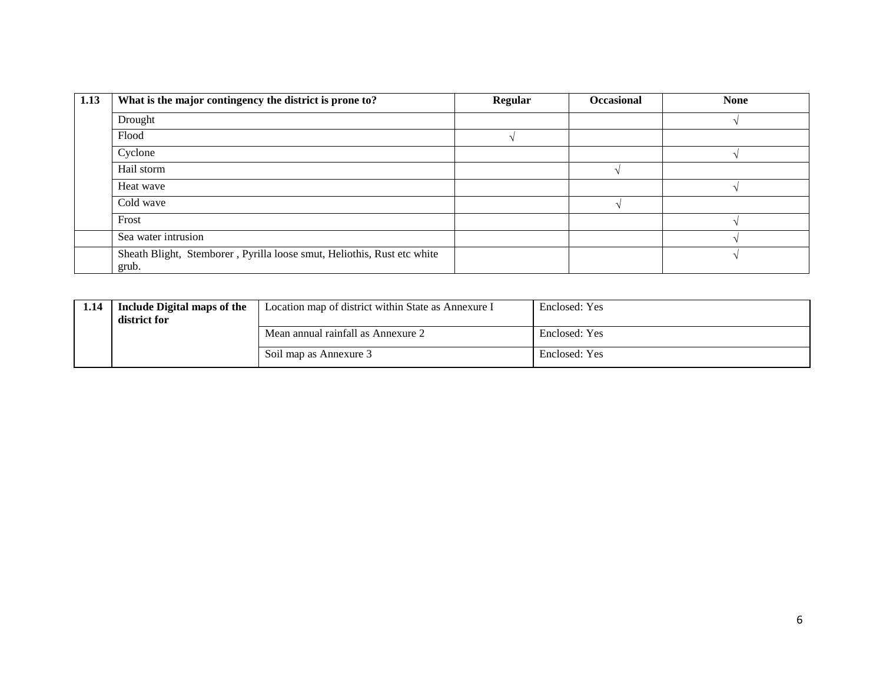| 1.13 | What is the major contingency the district is prone to?                          | Regular | Occasional | <b>None</b> |
|------|----------------------------------------------------------------------------------|---------|------------|-------------|
|      | Drought                                                                          |         |            |             |
|      | Flood                                                                            |         |            |             |
|      | Cyclone                                                                          |         |            |             |
|      | Hail storm                                                                       |         |            |             |
|      | Heat wave                                                                        |         |            |             |
|      | Cold wave                                                                        |         |            |             |
|      | Frost                                                                            |         |            |             |
|      | Sea water intrusion                                                              |         |            |             |
|      | Sheath Blight, Stemborer, Pyrilla loose smut, Heliothis, Rust etc white<br>grub. |         |            |             |

| 1.14 | Include Digital maps of the<br>district for | Location map of district within State as Annexure I | Enclosed: Yes |
|------|---------------------------------------------|-----------------------------------------------------|---------------|
|      |                                             | Mean annual rainfall as Annexure 2                  | Enclosed: Yes |
|      |                                             | Soil map as Annexure 3                              | Enclosed: Yes |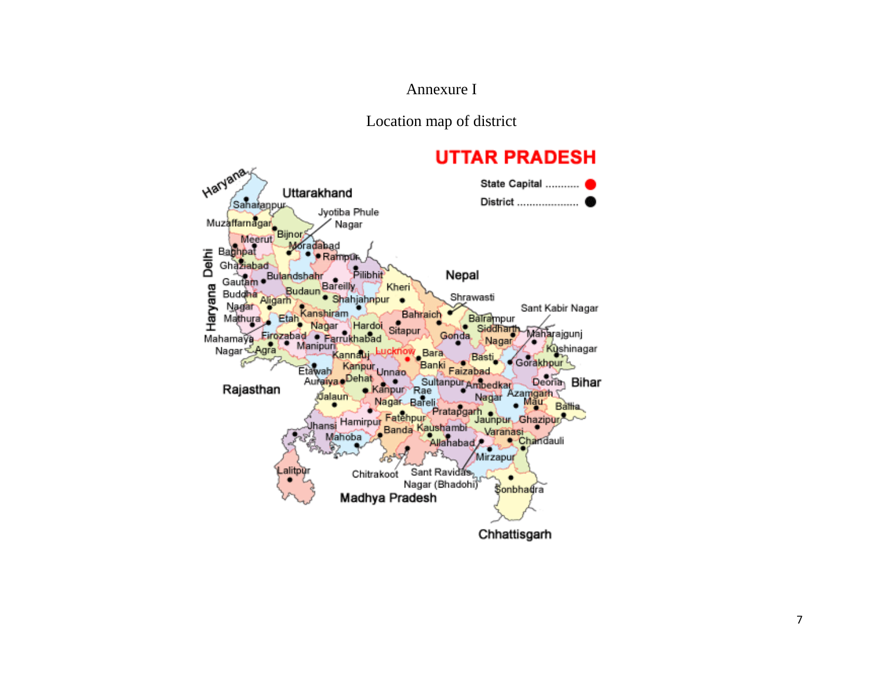### Annexure I

Location map of district

# **UTTAR PRADESH**

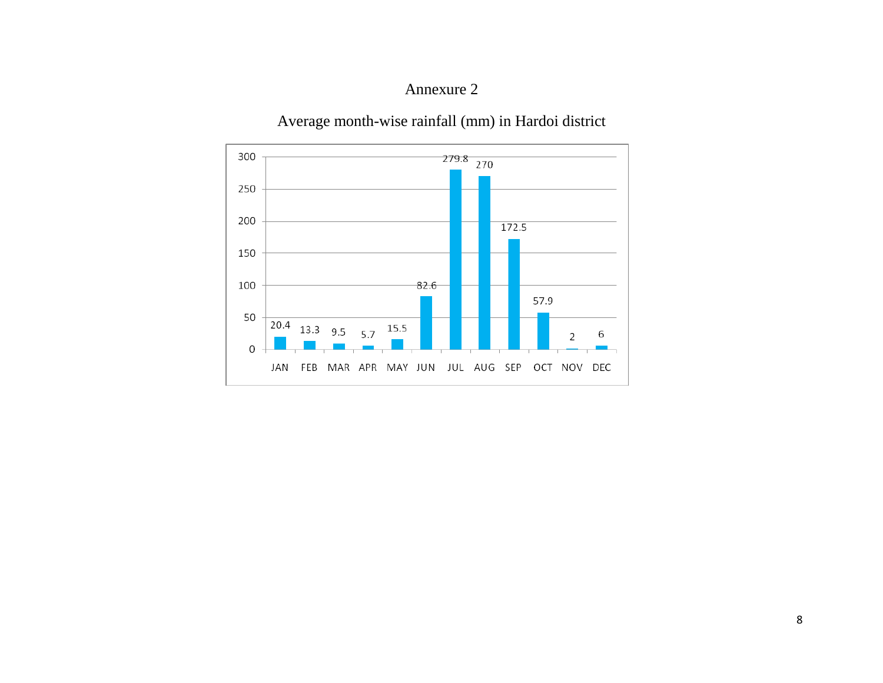## Annexure 2

Average month-wise rainfall (mm) in Hardoi district

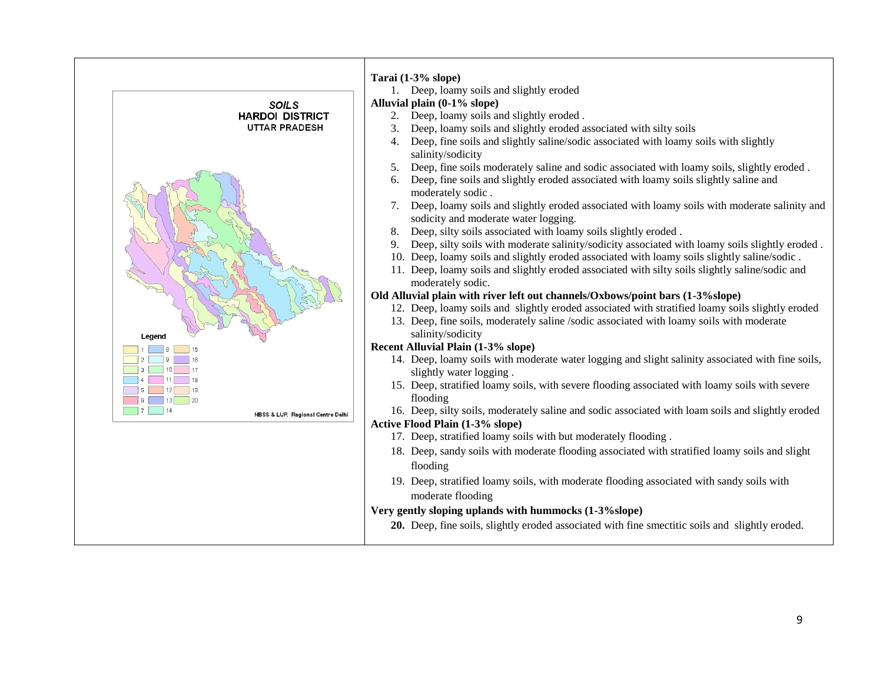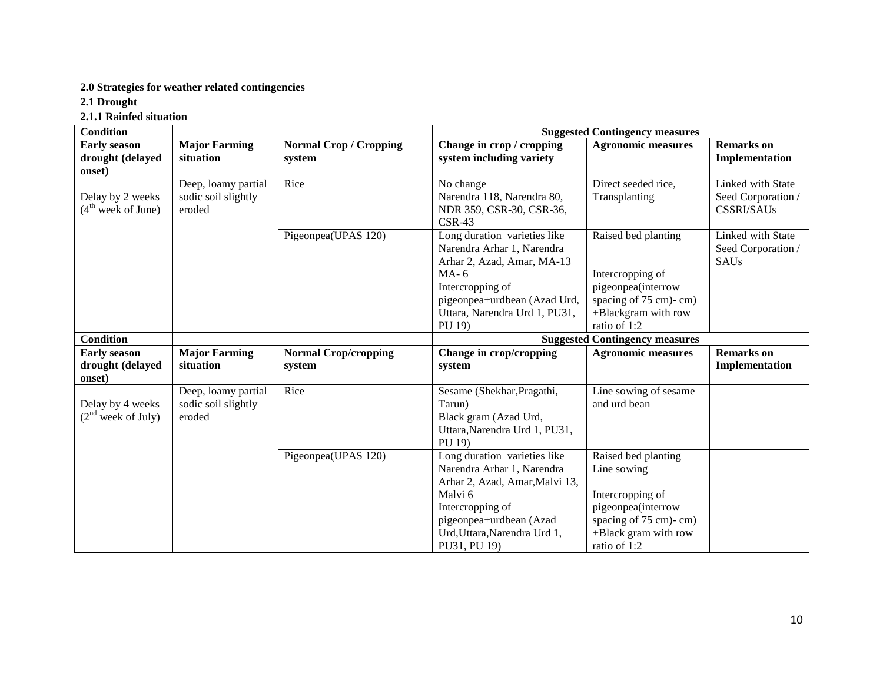### **2.0 Strategies for weather related contingencies**

**2.1 Drought** 

**2.1.1 Rainfed situation**

| <b>Condition</b>                                  |                                                      |                                         |                                                                                                                                                                                                        | <b>Suggested Contingency measures</b>                                                                                                         |                                                              |
|---------------------------------------------------|------------------------------------------------------|-----------------------------------------|--------------------------------------------------------------------------------------------------------------------------------------------------------------------------------------------------------|-----------------------------------------------------------------------------------------------------------------------------------------------|--------------------------------------------------------------|
| <b>Early season</b><br>drought (delayed<br>onset) | <b>Major Farming</b><br>situation                    | <b>Normal Crop / Cropping</b><br>system | Change in crop / cropping<br>system including variety                                                                                                                                                  | <b>Agronomic measures</b>                                                                                                                     | <b>Remarks</b> on<br>Implementation                          |
| Delay by 2 weeks<br>$(4th$ week of June)          | Deep, loamy partial<br>sodic soil slightly<br>eroded | Rice                                    | No change<br>Narendra 118, Narendra 80,<br>NDR 359, CSR-30, CSR-36,<br>$CSR-43$                                                                                                                        | Direct seeded rice,<br>Transplanting                                                                                                          | Linked with State<br>Seed Corporation /<br><b>CSSRI/SAUs</b> |
|                                                   |                                                      | Pigeonpea(UPAS 120)                     | Long duration varieties like<br>Narendra Arhar 1, Narendra<br>Arhar 2, Azad, Amar, MA-13<br>$MA-6$<br>Intercropping of<br>pigeonpea+urdbean (Azad Urd,<br>Uttara, Narendra Urd 1, PU31,<br>PU 19)      | Raised bed planting<br>Intercropping of<br>pigeonpea(interrow<br>spacing of 75 cm)-cm)<br>+Blackgram with row<br>ratio of 1:2                 | Linked with State<br>Seed Corporation /<br><b>SAUs</b>       |
| <b>Condition</b>                                  |                                                      |                                         |                                                                                                                                                                                                        | <b>Suggested Contingency measures</b>                                                                                                         |                                                              |
| <b>Early season</b><br>drought (delayed<br>onset) | <b>Major Farming</b><br>situation                    | <b>Normal Crop/cropping</b><br>system   | Change in crop/cropping<br>system                                                                                                                                                                      | <b>Agronomic measures</b>                                                                                                                     | <b>Remarks</b> on<br>Implementation                          |
| Delay by 4 weeks<br>$(2nd$ week of July)          | Deep, loamy partial<br>sodic soil slightly<br>eroded | Rice                                    | Sesame (Shekhar, Pragathi,<br>Tarun)<br>Black gram (Azad Urd,<br>Uttara, Narendra Urd 1, PU31,<br>PU 19)                                                                                               | Line sowing of sesame<br>and urd bean                                                                                                         |                                                              |
|                                                   |                                                      | Pigeonpea(UPAS 120)                     | Long duration varieties like<br>Narendra Arhar 1, Narendra<br>Arhar 2, Azad, Amar, Malvi 13,<br>Malvi 6<br>Intercropping of<br>pigeonpea+urdbean (Azad<br>Urd, Uttara, Narendra Urd 1,<br>PU31, PU 19) | Raised bed planting<br>Line sowing<br>Intercropping of<br>pigeonpea(interrow<br>spacing of 75 cm)-cm)<br>+Black gram with row<br>ratio of 1:2 |                                                              |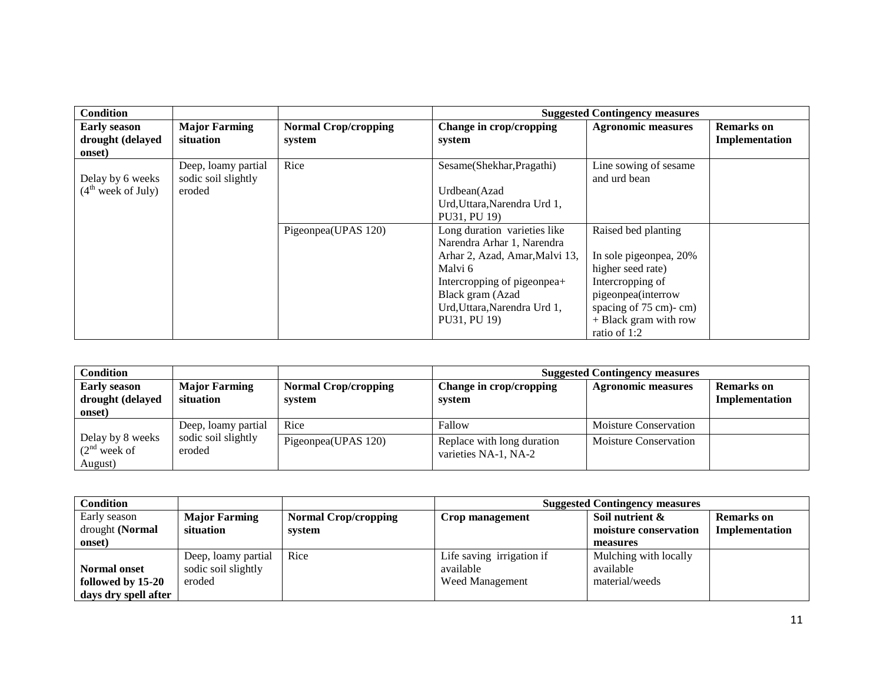| Condition                                         |                                            |                                       |                                   | <b>Suggested Contingency measures</b> |                                     |
|---------------------------------------------------|--------------------------------------------|---------------------------------------|-----------------------------------|---------------------------------------|-------------------------------------|
| <b>Early season</b><br>drought (delayed<br>onset) | <b>Major Farming</b><br>situation          | <b>Normal Crop/cropping</b><br>system | Change in crop/cropping<br>system | <b>Agronomic measures</b>             | <b>Remarks</b> on<br>Implementation |
| Delay by 6 weeks                                  | Deep, loamy partial<br>sodic soil slightly | Rice                                  | Sesame(Shekhar, Pragathi)         | Line sowing of sesame<br>and urd bean |                                     |
| (4 <sup>th</sup> week of July)                    | eroded                                     |                                       | Urdbean(Azad                      |                                       |                                     |
|                                                   |                                            |                                       | Urd, Uttara, Narendra Urd 1,      |                                       |                                     |
|                                                   |                                            |                                       | PU31, PU 19)                      |                                       |                                     |
|                                                   |                                            | Pigeonpea(UPAS 120)                   | Long duration varieties like      | Raised bed planting                   |                                     |
|                                                   |                                            |                                       | Narendra Arhar 1, Narendra        |                                       |                                     |
|                                                   |                                            |                                       | Arhar 2, Azad, Amar, Malvi 13,    | In sole pigeonpea, 20%                |                                     |
|                                                   |                                            |                                       | Malvi 6                           | higher seed rate)                     |                                     |
|                                                   |                                            |                                       | Intercropping of pigeonpea+       | Intercropping of                      |                                     |
|                                                   |                                            |                                       | Black gram (Azad                  | pigeonpea(interrow                    |                                     |
|                                                   |                                            |                                       | Urd, Uttara, Narendra Urd 1,      | spacing of 75 cm)-cm)                 |                                     |
|                                                   |                                            |                                       | PU31, PU 19)                      | + Black gram with row                 |                                     |
|                                                   |                                            |                                       |                                   | ratio of 1:2                          |                                     |

| Condition                                         |                                   |                                       |                                                    | <b>Suggested Contingency measures</b> |                                     |
|---------------------------------------------------|-----------------------------------|---------------------------------------|----------------------------------------------------|---------------------------------------|-------------------------------------|
| <b>Early season</b><br>drought (delayed<br>onset) | <b>Major Farming</b><br>situation | <b>Normal Crop/cropping</b><br>system | Change in crop/cropping<br>system                  | <b>Agronomic measures</b>             | <b>Remarks</b> on<br>Implementation |
|                                                   | Deep, loamy partial               | Rice                                  | Fallow                                             | <b>Moisture Conservation</b>          |                                     |
| Delay by 8 weeks<br>$(2nd$ week of<br>August)     | sodic soil slightly<br>eroded     | Pigeonpea(UPAS 120)                   | Replace with long duration<br>varieties NA-1, NA-2 | Moisture Conservation                 |                                     |

| Condition            |                      |                             | <b>Suggested Contingency measures</b> |                       |                   |  |
|----------------------|----------------------|-----------------------------|---------------------------------------|-----------------------|-------------------|--|
| Early season         | <b>Major Farming</b> | <b>Normal Crop/cropping</b> | Crop management                       | Soil nutrient &       | <b>Remarks</b> on |  |
| drought (Normal      | situation            | system                      |                                       | moisture conservation | Implementation    |  |
| onset)               |                      |                             |                                       | measures              |                   |  |
|                      | Deep, loamy partial  | Rice                        | Life saving irrigation if             | Mulching with locally |                   |  |
| <b>Normal onset</b>  | sodic soil slightly  |                             | available                             | available             |                   |  |
| followed by 15-20    | eroded               |                             | <b>Weed Management</b>                | material/weeds        |                   |  |
| days dry spell after |                      |                             |                                       |                       |                   |  |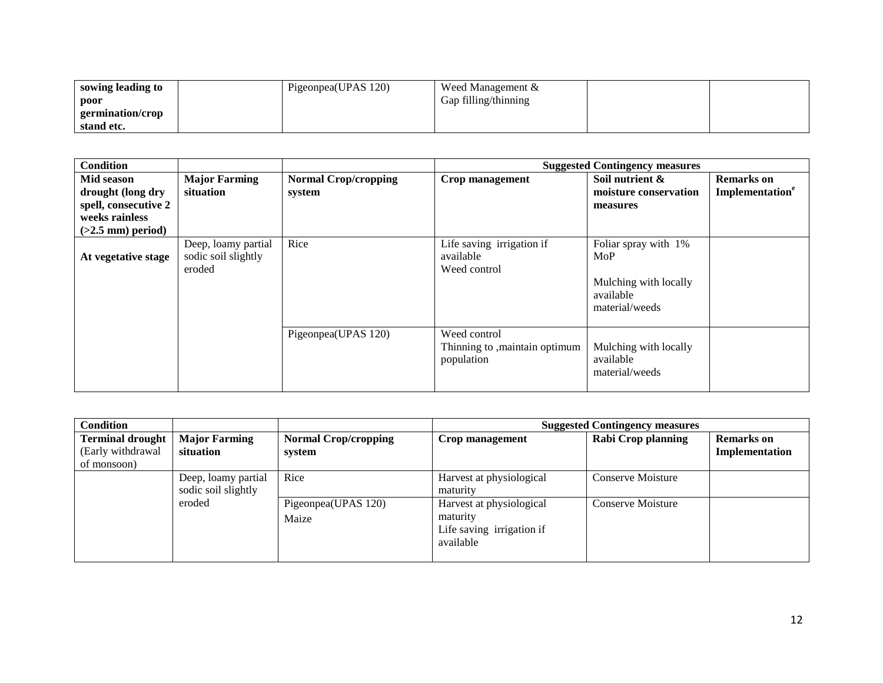| sowing leading to | Pigeonpea(UPAS 120) | Weed Management &    |  |
|-------------------|---------------------|----------------------|--|
| poor              |                     | Gap filling/thinning |  |
| germination/crop  |                     |                      |  |
| stand etc.        |                     |                      |  |

| <b>Condition</b>                                                                                 |                                                      |                                       |                                                              | <b>Suggested Contingency measures</b>                                               |                                                  |
|--------------------------------------------------------------------------------------------------|------------------------------------------------------|---------------------------------------|--------------------------------------------------------------|-------------------------------------------------------------------------------------|--------------------------------------------------|
| Mid season<br>drought (long dry<br>spell, consecutive 2<br>weeks rainless<br>$(>2.5$ mm) period) | <b>Major Farming</b><br>situation                    | <b>Normal Crop/cropping</b><br>system | Crop management                                              | Soil nutrient &<br>moisture conservation<br>measures                                | <b>Remarks</b> on<br>Implementation <sup>e</sup> |
| At vegetative stage                                                                              | Deep, loamy partial<br>sodic soil slightly<br>eroded | Rice                                  | Life saving irrigation if<br>available<br>Weed control       | Foliar spray with 1%<br>MoP<br>Mulching with locally<br>available<br>material/weeds |                                                  |
|                                                                                                  |                                                      | Pigeonpea(UPAS 120)                   | Weed control<br>Thinning to , maintain optimum<br>population | Mulching with locally<br>available<br>material/weeds                                |                                                  |

| <b>Condition</b>                                            |                                            |                                       |                                                                                | <b>Suggested Contingency measures</b> |                                     |
|-------------------------------------------------------------|--------------------------------------------|---------------------------------------|--------------------------------------------------------------------------------|---------------------------------------|-------------------------------------|
| <b>Terminal drought</b><br>(Early withdrawal<br>of monsoon) | <b>Major Farming</b><br>situation          | <b>Normal Crop/cropping</b><br>system | Crop management                                                                | Rabi Crop planning                    | <b>Remarks</b> on<br>Implementation |
|                                                             | Deep, loamy partial<br>sodic soil slightly | Rice                                  | Harvest at physiological<br>maturity                                           | Conserve Moisture                     |                                     |
|                                                             | eroded                                     | Pigeonpea(UPAS 120)<br>Maize          | Harvest at physiological<br>maturity<br>Life saving irrigation if<br>available | Conserve Moisture                     |                                     |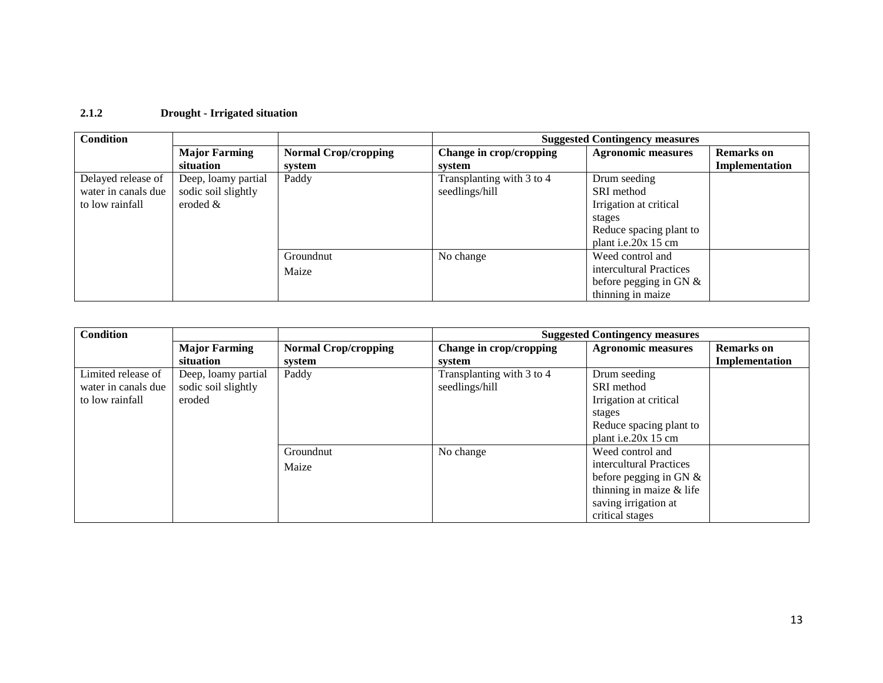### **2.1.2 Drought - Irrigated situation**

| <b>Condition</b>    |                      |                             |                           | <b>Suggested Contingency measures</b> |                   |
|---------------------|----------------------|-----------------------------|---------------------------|---------------------------------------|-------------------|
|                     | <b>Major Farming</b> | <b>Normal Crop/cropping</b> | Change in crop/cropping   | <b>Agronomic measures</b>             | <b>Remarks</b> on |
|                     | situation            | system                      | system                    |                                       | Implementation    |
| Delayed release of  | Deep, loamy partial  | Paddy                       | Transplanting with 3 to 4 | Drum seeding                          |                   |
| water in canals due | sodic soil slightly  |                             | seedlings/hill            | SRI method                            |                   |
| to low rainfall     | eroded $&$           |                             |                           | Irrigation at critical                |                   |
|                     |                      |                             |                           | stages                                |                   |
|                     |                      |                             |                           | Reduce spacing plant to               |                   |
|                     |                      |                             |                           | plant i.e.20x 15 cm                   |                   |
|                     |                      | Groundnut                   | No change                 | Weed control and                      |                   |
|                     |                      | Maize                       |                           | intercultural Practices               |                   |
|                     |                      |                             |                           | before pegging in GN $&$              |                   |
|                     |                      |                             |                           | thinning in maize                     |                   |

| <b>Condition</b>    |                      |                             |                           | <b>Suggested Contingency measures</b> |                   |
|---------------------|----------------------|-----------------------------|---------------------------|---------------------------------------|-------------------|
|                     | <b>Major Farming</b> | <b>Normal Crop/cropping</b> | Change in crop/cropping   | <b>Agronomic measures</b>             | <b>Remarks</b> on |
|                     | situation            | system                      | system                    |                                       | Implementation    |
| Limited release of  | Deep, loamy partial  | Paddy                       | Transplanting with 3 to 4 | Drum seeding                          |                   |
| water in canals due | sodic soil slightly  |                             | seedlings/hill            | SRI method                            |                   |
| to low rainfall     | eroded               |                             |                           | Irrigation at critical                |                   |
|                     |                      |                             |                           | stages                                |                   |
|                     |                      |                             |                           | Reduce spacing plant to               |                   |
|                     |                      |                             |                           | plant i.e.20x 15 cm                   |                   |
|                     |                      | Groundnut                   | No change                 | Weed control and                      |                   |
|                     |                      | Maize                       |                           | intercultural Practices               |                   |
|                     |                      |                             |                           | before pegging in GN $&$              |                   |
|                     |                      |                             |                           | thinning in maize $&$ life            |                   |
|                     |                      |                             |                           | saving irrigation at                  |                   |
|                     |                      |                             |                           | critical stages                       |                   |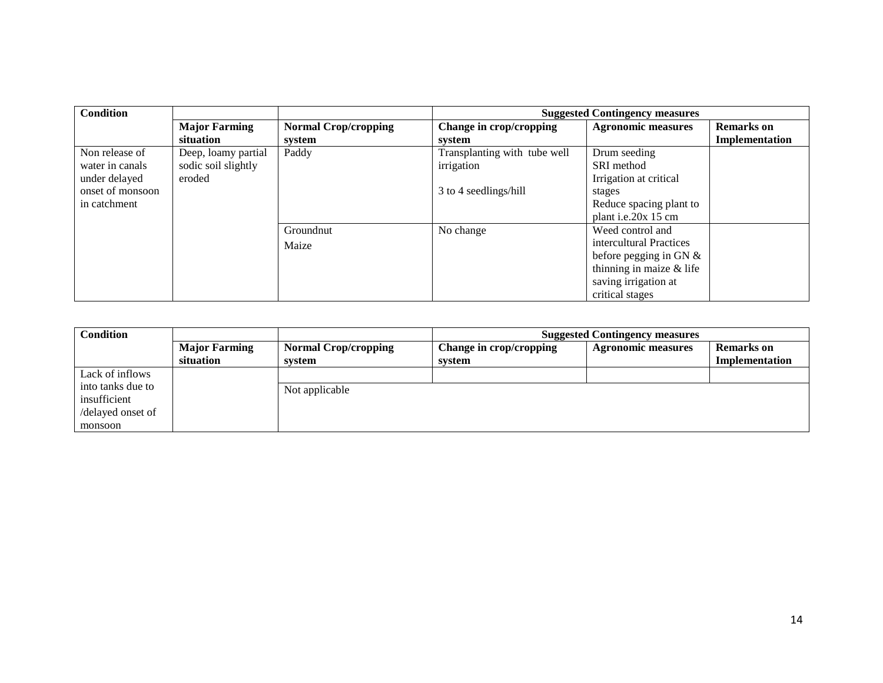| Condition        |                      |                             |                              | <b>Suggested Contingency measures</b> |                   |
|------------------|----------------------|-----------------------------|------------------------------|---------------------------------------|-------------------|
|                  | <b>Major Farming</b> | <b>Normal Crop/cropping</b> | Change in crop/cropping      | <b>Agronomic measures</b>             | <b>Remarks</b> on |
|                  | situation            | system                      | system                       |                                       | Implementation    |
| Non release of   | Deep, loamy partial  | Paddy                       | Transplanting with tube well | Drum seeding                          |                   |
| water in canals  | sodic soil slightly  |                             | irrigation                   | SRI method                            |                   |
| under delayed    | eroded               |                             |                              | Irrigation at critical                |                   |
| onset of monsoon |                      |                             | 3 to 4 seedlings/hill        | stages                                |                   |
| in catchment     |                      |                             |                              | Reduce spacing plant to               |                   |
|                  |                      |                             |                              | plant i.e.20 $x$ 15 cm                |                   |
|                  |                      | Groundnut                   | No change                    | Weed control and                      |                   |
|                  |                      | Maize                       |                              | intercultural Practices               |                   |
|                  |                      |                             |                              | before pegging in GN $&$              |                   |
|                  |                      |                             |                              | thinning in maize $&$ life            |                   |
|                  |                      |                             |                              | saving irrigation at                  |                   |
|                  |                      |                             |                              | critical stages                       |                   |

| Condition         |                      | <b>Suggested Contingency measures</b> |                         |                           |                   |
|-------------------|----------------------|---------------------------------------|-------------------------|---------------------------|-------------------|
|                   | <b>Major Farming</b> | <b>Normal Crop/cropping</b>           | Change in crop/cropping | <b>Agronomic measures</b> | <b>Remarks</b> on |
|                   | situation            | system                                | system                  |                           | Implementation    |
| Lack of inflows   |                      |                                       |                         |                           |                   |
| into tanks due to |                      | Not applicable                        |                         |                           |                   |
| insufficient      |                      |                                       |                         |                           |                   |
| /delayed onset of |                      |                                       |                         |                           |                   |
| monsoon           |                      |                                       |                         |                           |                   |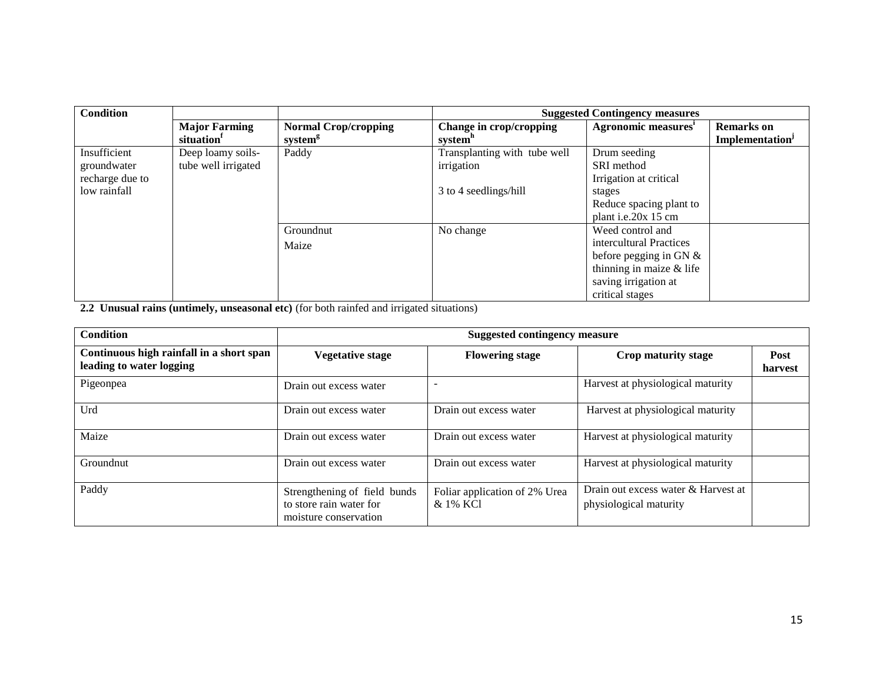| <b>Condition</b> |                        |                             |                              | <b>Suggested Contingency measures</b> |                             |
|------------------|------------------------|-----------------------------|------------------------------|---------------------------------------|-----------------------------|
|                  | <b>Major Farming</b>   | <b>Normal Crop/cropping</b> | Change in crop/cropping      | Agronomic measures <sup>1</sup>       | <b>Remarks</b> on           |
|                  | situation <sup>1</sup> | system <sup>g</sup>         | system <sup>n</sup>          |                                       | Implementation <sup>J</sup> |
| Insufficient     | Deep loamy soils-      | Paddy                       | Transplanting with tube well | Drum seeding                          |                             |
| groundwater      | tube well irrigated    |                             | irrigation                   | SRI method                            |                             |
| recharge due to  |                        |                             |                              | Irrigation at critical                |                             |
| low rainfall     |                        |                             | 3 to 4 seedlings/hill        | stages                                |                             |
|                  |                        |                             |                              | Reduce spacing plant to               |                             |
|                  |                        |                             |                              | plant i.e.20 $x$ 15 cm                |                             |
|                  |                        | Groundnut                   | No change                    | Weed control and                      |                             |
|                  |                        | Maize                       |                              | intercultural Practices               |                             |
|                  |                        |                             |                              | before pegging in GN $&$              |                             |
|                  |                        |                             |                              | thinning in maize $&$ life            |                             |
|                  |                        |                             |                              | saving irrigation at                  |                             |
|                  |                        |                             |                              | critical stages                       |                             |

**2.2 Unusual rains (untimely, unseasonal etc)** (for both rainfed and irrigated situations)

| <b>Condition</b>                                                     | <b>Suggested contingency measure</b>                                             |                                           |                                                               |                 |  |
|----------------------------------------------------------------------|----------------------------------------------------------------------------------|-------------------------------------------|---------------------------------------------------------------|-----------------|--|
| Continuous high rainfall in a short span<br>leading to water logging | <b>Vegetative stage</b>                                                          | <b>Flowering stage</b>                    | Crop maturity stage                                           | Post<br>harvest |  |
| Pigeonpea                                                            | Drain out excess water                                                           |                                           | Harvest at physiological maturity                             |                 |  |
| Urd                                                                  | Drain out excess water                                                           | Drain out excess water                    | Harvest at physiological maturity                             |                 |  |
| Maize                                                                | Drain out excess water                                                           | Drain out excess water                    | Harvest at physiological maturity                             |                 |  |
| Groundnut                                                            | Drain out excess water                                                           | Drain out excess water                    | Harvest at physiological maturity                             |                 |  |
| Paddy                                                                | Strengthening of field bunds<br>to store rain water for<br>moisture conservation | Foliar application of 2% Urea<br>& 1% KCl | Drain out excess water & Harvest at<br>physiological maturity |                 |  |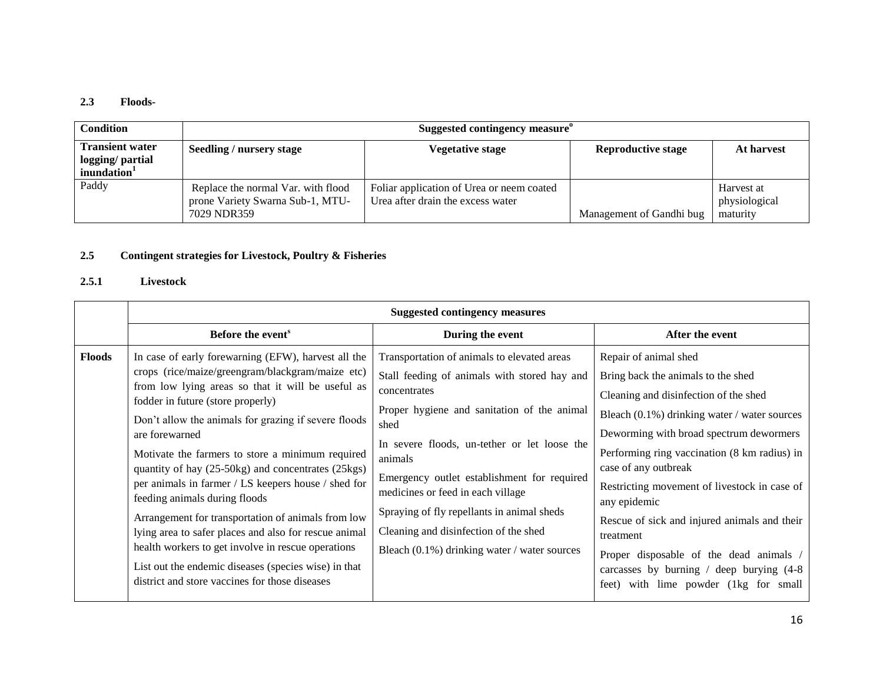#### **2.3 Floods-**

| <b>Condition</b>                                                      | Suggested contingency measure <sup>o</sup>                                            |                                                                                |                           |                                         |
|-----------------------------------------------------------------------|---------------------------------------------------------------------------------------|--------------------------------------------------------------------------------|---------------------------|-----------------------------------------|
| <b>Transient water</b><br>logging/ partial<br>inundation <sup>1</sup> | <b>Seedling / nursery stage</b>                                                       | <b>Vegetative stage</b>                                                        | <b>Reproductive stage</b> | At harvest                              |
| Paddy                                                                 | Replace the normal Var. with flood<br>prone Variety Swarna Sub-1, MTU-<br>7029 NDR359 | Foliar application of Urea or neem coated<br>Urea after drain the excess water | Management of Gandhi bug  | Harvest at<br>physiological<br>maturity |

### **2.5 Contingent strategies for Livestock, Poultry & Fisheries**

### **2.5.1 Livestock**

|               | <b>Suggested contingency measures</b>                                                                                                                                                                                                                                                                                                                                                                                                                                                                                                                                                                                                                                                                                                                        |                                                                                                                                                                                                                                                                                                                                                                                                                                                          |                                                                                                                                                                                                                                                                                                                                                                                                                                                                                                                                         |  |
|---------------|--------------------------------------------------------------------------------------------------------------------------------------------------------------------------------------------------------------------------------------------------------------------------------------------------------------------------------------------------------------------------------------------------------------------------------------------------------------------------------------------------------------------------------------------------------------------------------------------------------------------------------------------------------------------------------------------------------------------------------------------------------------|----------------------------------------------------------------------------------------------------------------------------------------------------------------------------------------------------------------------------------------------------------------------------------------------------------------------------------------------------------------------------------------------------------------------------------------------------------|-----------------------------------------------------------------------------------------------------------------------------------------------------------------------------------------------------------------------------------------------------------------------------------------------------------------------------------------------------------------------------------------------------------------------------------------------------------------------------------------------------------------------------------------|--|
|               | Before the event <sup>s</sup>                                                                                                                                                                                                                                                                                                                                                                                                                                                                                                                                                                                                                                                                                                                                | During the event                                                                                                                                                                                                                                                                                                                                                                                                                                         | After the event                                                                                                                                                                                                                                                                                                                                                                                                                                                                                                                         |  |
| <b>Floods</b> | In case of early forewarning (EFW), harvest all the<br>crops (rice/maize/greengram/blackgram/maize etc)<br>from low lying areas so that it will be useful as<br>fodder in future (store properly)<br>Don't allow the animals for grazing if severe floods<br>are forewarned<br>Motivate the farmers to store a minimum required<br>quantity of hay (25-50kg) and concentrates (25kgs)<br>per animals in farmer / LS keepers house / shed for<br>feeding animals during floods<br>Arrangement for transportation of animals from low<br>lying area to safer places and also for rescue animal<br>health workers to get involve in rescue operations<br>List out the endemic diseases (species wise) in that<br>district and store vaccines for those diseases | Transportation of animals to elevated areas<br>Stall feeding of animals with stored hay and<br>concentrates<br>Proper hygiene and sanitation of the animal<br>shed<br>In severe floods, un-tether or let loose the<br>animals<br>Emergency outlet establishment for required<br>medicines or feed in each village<br>Spraying of fly repellants in animal sheds<br>Cleaning and disinfection of the shed<br>Bleach (0.1%) drinking water / water sources | Repair of animal shed<br>Bring back the animals to the shed<br>Cleaning and disinfection of the shed<br>Bleach (0.1%) drinking water / water sources<br>Deworming with broad spectrum dewormers<br>Performing ring vaccination (8 km radius) in<br>case of any outbreak<br>Restricting movement of livestock in case of<br>any epidemic<br>Rescue of sick and injured animals and their<br>treatment<br>Proper disposable of the dead animals /<br>carcasses by burning / deep burying $(4-8)$<br>feet) with lime powder (1kg for small |  |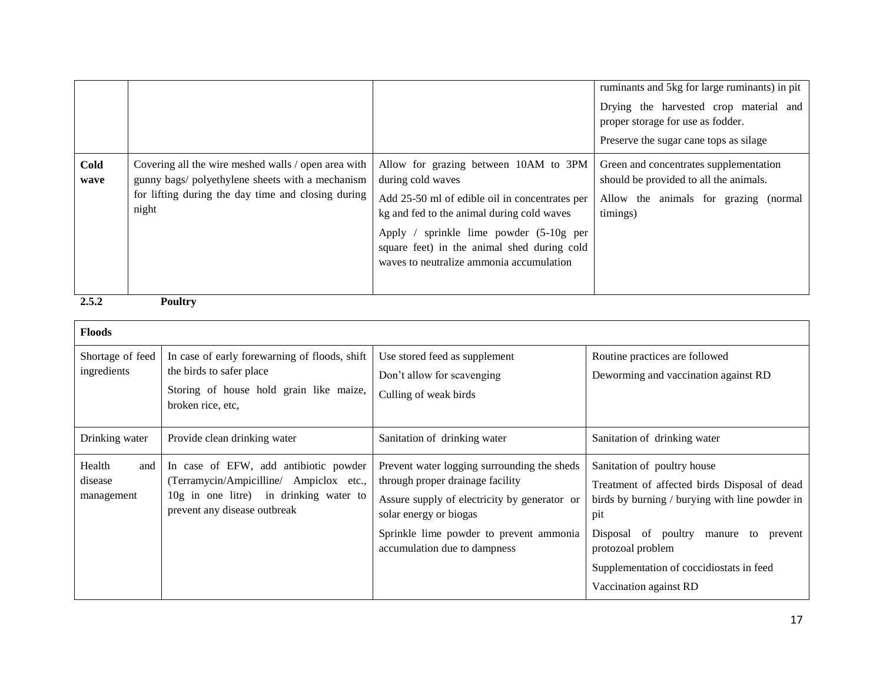|              |                                                                                                                                                                        |                                                                                                                                                                                                                                                                                                  | ruminants and 5kg for large ruminants) in pit<br>Drying the harvested crop material and<br>proper storage for use as fodder.<br>Preserve the sugar cane tops as silage |
|--------------|------------------------------------------------------------------------------------------------------------------------------------------------------------------------|--------------------------------------------------------------------------------------------------------------------------------------------------------------------------------------------------------------------------------------------------------------------------------------------------|------------------------------------------------------------------------------------------------------------------------------------------------------------------------|
| Cold<br>wave | Covering all the wire meshed walls / open area with<br>gunny bags/ polyethylene sheets with a mechanism<br>for lifting during the day time and closing during<br>night | Allow for grazing between 10AM to 3PM<br>during cold waves<br>Add 25-50 ml of edible oil in concentrates per<br>kg and fed to the animal during cold waves<br>Apply / sprinkle lime powder (5-10g per<br>square feet) in the animal shed during cold<br>waves to neutralize ammonia accumulation | Green and concentrates supplementation<br>should be provided to all the animals.<br>Allow the animals for grazing (normal<br>timings)                                  |
| 2.5.2        | <b>Poultry</b>                                                                                                                                                         |                                                                                                                                                                                                                                                                                                  |                                                                                                                                                                        |

| <b>Floods</b>                          |                                                                                                                                                            |                                                                                                                                                                                                                                      |                                                                                                                                                                                                                                                                             |
|----------------------------------------|------------------------------------------------------------------------------------------------------------------------------------------------------------|--------------------------------------------------------------------------------------------------------------------------------------------------------------------------------------------------------------------------------------|-----------------------------------------------------------------------------------------------------------------------------------------------------------------------------------------------------------------------------------------------------------------------------|
| Shortage of feed<br>ingredients        | In case of early forewarning of floods, shift<br>the birds to safer place<br>Storing of house hold grain like maize,<br>broken rice, etc,                  | Use stored feed as supplement<br>Don't allow for scavenging<br>Culling of weak birds                                                                                                                                                 | Routine practices are followed<br>Deworming and vaccination against RD                                                                                                                                                                                                      |
| Drinking water                         | Provide clean drinking water                                                                                                                               | Sanitation of drinking water                                                                                                                                                                                                         | Sanitation of drinking water                                                                                                                                                                                                                                                |
| Health<br>and<br>disease<br>management | In case of EFW, add antibiotic powder<br>(Terramycin/Ampicilline/ Ampiclox etc.,<br>10g in one litre) in drinking water to<br>prevent any disease outbreak | Prevent water logging surrounding the sheds<br>through proper drainage facility<br>Assure supply of electricity by generator or<br>solar energy or biogas<br>Sprinkle lime powder to prevent ammonia<br>accumulation due to dampness | Sanitation of poultry house<br>Treatment of affected birds Disposal of dead<br>birds by burning / burying with line powder in<br>pit<br>Disposal of poultry manure to<br>prevent<br>protozoal problem<br>Supplementation of coccidiostats in feed<br>Vaccination against RD |